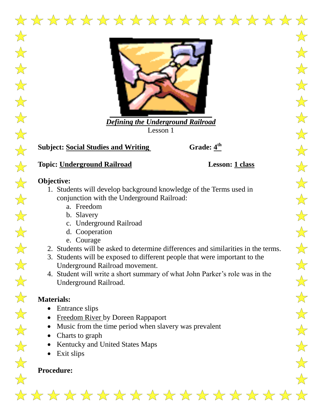

*Defining the Underground Railroad* Lesson 1

## **Subject: Social Studies and Writing**

Grade:  $4^{\text{th}}$ 

# **Topic: Underground Railroad Lesson: 1 class**

## **Objective:**

- 1. Students will develop background knowledge of the Terms used in conjunction with the Underground Railroad:
	- a. Freedom
	- b. Slavery
	- c. Underground Railroad
	- d. Cooperation
	- e. Courage
- 2. Students will be asked to determine differences and similarities in the terms.
- 3. Students will be exposed to different people that were important to the Underground Railroad movement.
- 4. Student will write a short summary of what John Parker's role was in the Underground Railroad.

## **Materials:**

- Entrance slips
- Freedom River by Doreen Rappaport
- Music from the time period when slavery was prevalent
- Charts to graph
- Kentucky and United States Maps
- Exit slips

# **Procedure:**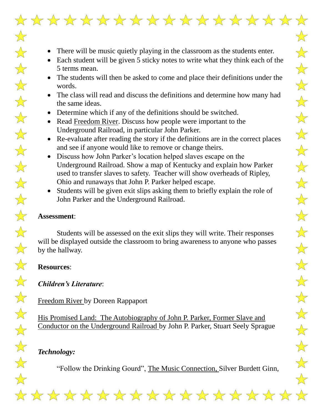

- Each student will be given 5 sticky notes to write what they think each of the 5 terms mean.
- The students will then be asked to come and place their definitions under the words.
- The class will read and discuss the definitions and determine how many had the same ideas.
- Determine which if any of the definitions should be switched.
- Read Freedom River. Discuss how people were important to the Underground Railroad, in particular John Parker.
- Re-evaluate after reading the story if the definitions are in the correct places and see if anyone would like to remove or change theirs.
- Discuss how John Parker's location helped slaves escape on the Underground Railroad. Show a map of Kentucky and explain how Parker used to transfer slaves to safety. Teacher will show overheads of Ripley, Ohio and runaways that John P. Parker helped escape.
- Students will be given exit slips asking them to briefly explain the role of John Parker and the Underground Railroad.

#### **Assessment**:

 $\frac{1}{\sqrt{2}}$ 

 $\frac{1}{\sqrt{2}}$ 

 $\frac{1}{\sqrt{2}}$ 

 $\frac{1}{\sqrt{2}}$ 

 $\frac{1}{\sqrt{2}}$ 

 $\frac{1}{\sqrt{2}}$ 

 $\frac{1}{\sqrt{2}}$ 

 $\frac{1}{\sqrt{2}}$ 

 $\frac{1}{\sqrt{2}}$ 

 $\frac{1}{\sqrt{2}}$ 

 $\frac{1}{\sqrt{2}}$ 

 $\frac{1}{\sqrt{2}}$ 

 $\frac{1}{\sqrt{2}}$ 

 $\frac{1}{\sqrt{2}}$ 

 $\frac{1}{\sqrt{2}}$ 

 $\frac{1}{\sqrt{2}}$ 

 $\frac{1}{\sqrt{2}}$ 

 $\frac{1}{\sqrt{2}}$ 

 $\frac{1}{\sqrt{2}}$ 

 $\frac{1}{\sqrt{2}}$ 

 $\frac{1}{\sqrt{2}}$ 

 $\frac{1}{\sqrt{2}}$ 

Students will be assessed on the exit slips they will write. Their responses will be displayed outside the classroom to bring awareness to anyone who passes by the hallway.

#### **Resources**:

#### *Children's Literature*:

Freedom River by Doreen Rappaport

His Promised Land: The Autobiography of John P. Parker, Former Slave and Conductor on the Underground Railroad by John P. Parker, Stuart Seely Sprague

# *Technology:*

"Follow the Drinking Gourd", The Music Connection, Silver Burdett Ginn,